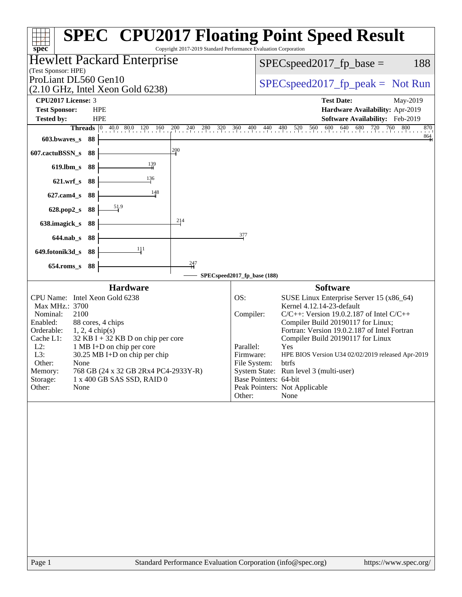|                                                                                      |                                                                 | <b>SPEC<sup>®</sup> CPU2017 Floating Point Speed Result</b>                                                                         |
|--------------------------------------------------------------------------------------|-----------------------------------------------------------------|-------------------------------------------------------------------------------------------------------------------------------------|
| spec                                                                                 | Copyright 2017-2019 Standard Performance Evaluation Corporation |                                                                                                                                     |
| <b>Hewlett Packard Enterprise</b><br>(Test Sponsor: HPE)                             | 188<br>$SPEC speed2017_fp\_base =$                              |                                                                                                                                     |
| ProLiant DL560 Gen10                                                                 | $SPEC speed2017rfp peak = Not Run$                              |                                                                                                                                     |
| $(2.10 \text{ GHz}, \text{Intel Xeon Gold } 6238)$                                   |                                                                 |                                                                                                                                     |
| CPU2017 License: 3                                                                   |                                                                 | <b>Test Date:</b><br>May-2019                                                                                                       |
| <b>Test Sponsor:</b><br><b>HPE</b><br><b>Tested by:</b><br><b>HPE</b>                |                                                                 | Hardware Availability: Apr-2019<br><b>Software Availability:</b> Feb-2019                                                           |
| <b>Threads</b> $\begin{bmatrix} 0 & 40.0 & 80.0 & 120 \end{bmatrix}$<br>160          | $200$ $240$ $280$<br>320<br>360                                 | 600 640 680 720 760<br>800<br>$^{400}$<br>440 480<br>520<br>560<br>870                                                              |
| 603.bwaves_s 88                                                                      |                                                                 | $\frac{864}{4}$                                                                                                                     |
| 607.cactuBSSN_s<br>88                                                                | 200                                                             |                                                                                                                                     |
| $\frac{139}{2}$<br>$619.$ lbm_s<br>88                                                |                                                                 |                                                                                                                                     |
| 136<br>621.wrf_s 88                                                                  |                                                                 |                                                                                                                                     |
| 148<br>$627$ .cam $4$ <sub>S</sub><br>88                                             |                                                                 |                                                                                                                                     |
| 628.pop2_s 88                                                                        |                                                                 |                                                                                                                                     |
| 638.imagick_s<br>88                                                                  | 214                                                             |                                                                                                                                     |
| 644.nab s 88                                                                         | 377                                                             |                                                                                                                                     |
| 111<br>649.fotonik3d_s 88                                                            |                                                                 |                                                                                                                                     |
| $654$ .roms_s<br>88                                                                  | 247                                                             |                                                                                                                                     |
|                                                                                      | SPECspeed2017_fp_base (188)                                     |                                                                                                                                     |
| <b>Hardware</b>                                                                      |                                                                 | <b>Software</b>                                                                                                                     |
| CPU Name: Intel Xeon Gold 6238<br>Max MHz.: 3700<br>2100<br>Nominal:                 | OS:                                                             | SUSE Linux Enterprise Server 15 (x86_64)<br>Kernel 4.12.14-23-default<br>Compiler:<br>$C/C++$ : Version 19.0.2.187 of Intel $C/C++$ |
| 88 cores, 4 chips<br>Enabled:                                                        |                                                                 | Compiler Build 20190117 for Linux;                                                                                                  |
| Orderable:<br>$1, 2, 4$ chip(s)<br>$32$ KB I + 32 KB D on chip per core<br>Cache L1: |                                                                 | Fortran: Version 19.0.2.187 of Intel Fortran<br>Compiler Build 20190117 for Linux                                                   |
| $L2$ :<br>1 MB I+D on chip per core                                                  |                                                                 | Parallel:<br>Yes                                                                                                                    |
| L3:<br>30.25 MB I+D on chip per chip<br>Other:<br>None                               |                                                                 | Firmware:<br>HPE BIOS Version U34 02/02/2019 released Apr-2019<br>File System:<br>btrfs                                             |
| 768 GB (24 x 32 GB 2Rx4 PC4-2933Y-R)<br>Memory:                                      |                                                                 | System State: Run level 3 (multi-user)                                                                                              |
| Storage:<br>1 x 400 GB SAS SSD, RAID 0<br>Other:<br>None                             |                                                                 | Base Pointers: 64-bit<br>Peak Pointers: Not Applicable                                                                              |
|                                                                                      |                                                                 | None<br>Other:                                                                                                                      |
|                                                                                      |                                                                 |                                                                                                                                     |
| Page 1                                                                               |                                                                 | Standard Performance Evaluation Corporation (info@spec.org)<br>https://www.spec.org/                                                |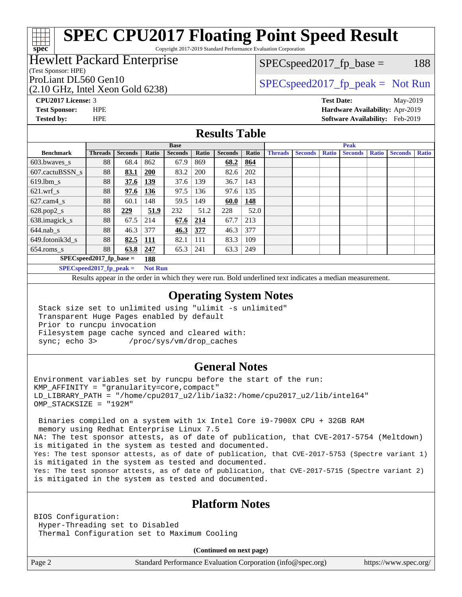Copyright 2017-2019 Standard Performance Evaluation Corporation

### Hewlett Packard Enterprise

#### (Test Sponsor: HPE)

 $SPEC speed2017_fp\_base = 188$ 

### (2.10 GHz, Intel Xeon Gold 6238)

ProLiant DL560 Gen10  $SPEC speed2017$  [p\_peak = Not Run

**[CPU2017 License:](http://www.spec.org/auto/cpu2017/Docs/result-fields.html#CPU2017License)** 3 **[Test Date:](http://www.spec.org/auto/cpu2017/Docs/result-fields.html#TestDate)** May-2019 **[Test Sponsor:](http://www.spec.org/auto/cpu2017/Docs/result-fields.html#TestSponsor)** HPE **[Hardware Availability:](http://www.spec.org/auto/cpu2017/Docs/result-fields.html#HardwareAvailability)** Apr-2019

**[spec](http://www.spec.org/)**

**[Tested by:](http://www.spec.org/auto/cpu2017/Docs/result-fields.html#Testedby)** HPE **[Software Availability:](http://www.spec.org/auto/cpu2017/Docs/result-fields.html#SoftwareAvailability)** Feb-2019

### **[Results Table](http://www.spec.org/auto/cpu2017/Docs/result-fields.html#ResultsTable)**

|                             | <b>Base</b>                |                |                |                |       | <b>Peak</b>    |       |                |                |              |                |              |                |              |
|-----------------------------|----------------------------|----------------|----------------|----------------|-------|----------------|-------|----------------|----------------|--------------|----------------|--------------|----------------|--------------|
| <b>Benchmark</b>            | <b>Threads</b>             | <b>Seconds</b> | Ratio          | <b>Seconds</b> | Ratio | <b>Seconds</b> | Ratio | <b>Threads</b> | <b>Seconds</b> | <b>Ratio</b> | <b>Seconds</b> | <b>Ratio</b> | <b>Seconds</b> | <b>Ratio</b> |
| 603.bwayes s                | 88                         | 68.4           | 862            | 67.9           | 869   | 68.2           | 864   |                |                |              |                |              |                |              |
| 607.cactuBSSN s             | 88                         | 83.1           | <b>200</b>     | 83.2           | 200   | 82.6           | 202   |                |                |              |                |              |                |              |
| $619.$ lbm_s                | 88                         | 37.6           | 139            | 37.6           | 139   | 36.7           | 143   |                |                |              |                |              |                |              |
| $621.wrf$ s                 | 88                         | 97.6           | 136            | 97.5           | 136   | 97.6           | 135   |                |                |              |                |              |                |              |
| $627$ .cam $4$ <sub>s</sub> | 88                         | 60.1           | 148            | 59.5           | 149   | 60.0           | 148   |                |                |              |                |              |                |              |
| $628.pop2_s$                | 88                         | 229            | 51.9           | 232            | 51.2  | 228            | 52.0  |                |                |              |                |              |                |              |
| 638.imagick_s               | 88                         | 67.5           | 214            | 67.6           | 214   | 67.7           | 213   |                |                |              |                |              |                |              |
| $644$ .nab s                | 88                         | 46.3           | 377            | 46.3           | 377   | 46.3           | 377   |                |                |              |                |              |                |              |
| 649.fotonik3d s             | 88                         | 82.5           | <u>111</u>     | 82.1           | 111   | 83.3           | 109   |                |                |              |                |              |                |              |
| $654$ .roms s               | 88                         | 63.8           | 247            | 65.3           | 241   | 63.3           | 249   |                |                |              |                |              |                |              |
|                             | $SPEC speed2017$ fp base = |                | 188            |                |       |                |       |                |                |              |                |              |                |              |
|                             | $SPECspeed2017_fp\_peak =$ |                | <b>Not Run</b> |                |       |                |       |                |                |              |                |              |                |              |

Results appear in the [order in which they were run.](http://www.spec.org/auto/cpu2017/Docs/result-fields.html#RunOrder) Bold underlined text [indicates a median measurement](http://www.spec.org/auto/cpu2017/Docs/result-fields.html#Median).

### **[Operating System Notes](http://www.spec.org/auto/cpu2017/Docs/result-fields.html#OperatingSystemNotes)**

 Stack size set to unlimited using "ulimit -s unlimited" Transparent Huge Pages enabled by default Prior to runcpu invocation Filesystem page cache synced and cleared with: sync; echo 3> /proc/sys/vm/drop\_caches

### **[General Notes](http://www.spec.org/auto/cpu2017/Docs/result-fields.html#GeneralNotes)**

Environment variables set by runcpu before the start of the run: KMP\_AFFINITY = "granularity=core,compact" LD\_LIBRARY\_PATH = "/home/cpu2017\_u2/lib/ia32:/home/cpu2017\_u2/lib/intel64" OMP\_STACKSIZE = "192M"

 Binaries compiled on a system with 1x Intel Core i9-7900X CPU + 32GB RAM memory using Redhat Enterprise Linux 7.5 NA: The test sponsor attests, as of date of publication, that CVE-2017-5754 (Meltdown) is mitigated in the system as tested and documented. Yes: The test sponsor attests, as of date of publication, that CVE-2017-5753 (Spectre variant 1) is mitigated in the system as tested and documented. Yes: The test sponsor attests, as of date of publication, that CVE-2017-5715 (Spectre variant 2) is mitigated in the system as tested and documented.

### **[Platform Notes](http://www.spec.org/auto/cpu2017/Docs/result-fields.html#PlatformNotes)**

BIOS Configuration: Hyper-Threading set to Disabled Thermal Configuration set to Maximum Cooling

**(Continued on next page)**

Page 2 Standard Performance Evaluation Corporation [\(info@spec.org\)](mailto:info@spec.org) <https://www.spec.org/>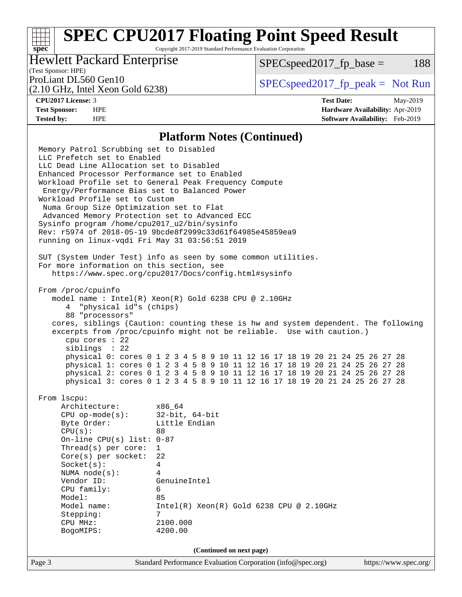Copyright 2017-2019 Standard Performance Evaluation Corporation

### Hewlett Packard Enterprise

 $SPEC speed2017_fp\_base = 188$ 

## (Test Sponsor: HPE)

(2.10 GHz, Intel Xeon Gold 6238)

ProLiant DL560 Gen10  $SPEC speed2017$  [p\_peak = Not Run

**[spec](http://www.spec.org/)**

**[CPU2017 License:](http://www.spec.org/auto/cpu2017/Docs/result-fields.html#CPU2017License)** 3 **[Test Date:](http://www.spec.org/auto/cpu2017/Docs/result-fields.html#TestDate)** May-2019 **[Test Sponsor:](http://www.spec.org/auto/cpu2017/Docs/result-fields.html#TestSponsor)** HPE **[Hardware Availability:](http://www.spec.org/auto/cpu2017/Docs/result-fields.html#HardwareAvailability)** Apr-2019 **[Tested by:](http://www.spec.org/auto/cpu2017/Docs/result-fields.html#Testedby)** HPE **[Software Availability:](http://www.spec.org/auto/cpu2017/Docs/result-fields.html#SoftwareAvailability)** Feb-2019

#### **[Platform Notes \(Continued\)](http://www.spec.org/auto/cpu2017/Docs/result-fields.html#PlatformNotes)**

Page 3 Standard Performance Evaluation Corporation [\(info@spec.org\)](mailto:info@spec.org) <https://www.spec.org/> Memory Patrol Scrubbing set to Disabled LLC Prefetch set to Enabled LLC Dead Line Allocation set to Disabled Enhanced Processor Performance set to Enabled Workload Profile set to General Peak Frequency Compute Energy/Performance Bias set to Balanced Power Workload Profile set to Custom Numa Group Size Optimization set to Flat Advanced Memory Protection set to Advanced ECC Sysinfo program /home/cpu2017\_u2/bin/sysinfo Rev: r5974 of 2018-05-19 9bcde8f2999c33d61f64985e45859ea9 running on linux-vqdi Fri May 31 03:56:51 2019 SUT (System Under Test) info as seen by some common utilities. For more information on this section, see <https://www.spec.org/cpu2017/Docs/config.html#sysinfo> From /proc/cpuinfo model name : Intel(R) Xeon(R) Gold 6238 CPU @ 2.10GHz 4 "physical id"s (chips) 88 "processors" cores, siblings (Caution: counting these is hw and system dependent. The following excerpts from /proc/cpuinfo might not be reliable. Use with caution.) cpu cores : 22 siblings : 22 physical 0: cores 0 1 2 3 4 5 8 9 10 11 12 16 17 18 19 20 21 24 25 26 27 28 physical 1: cores 0 1 2 3 4 5 8 9 10 11 12 16 17 18 19 20 21 24 25 26 27 28 physical 2: cores 0 1 2 3 4 5 8 9 10 11 12 16 17 18 19 20 21 24 25 26 27 28 physical 3: cores 0 1 2 3 4 5 8 9 10 11 12 16 17 18 19 20 21 24 25 26 27 28 From lscpu: Architecture: x86\_64 CPU op-mode(s): 32-bit, 64-bit Byte Order: Little Endian  $CPU(s):$  88 On-line CPU(s) list: 0-87 Thread(s) per core: 1 Core(s) per socket: 22 Socket(s): 4 NUMA node(s): 4 Vendor ID: GenuineIntel CPU family: 6 Model: 85<br>Model name: 1n  $Intel(R)$  Xeon(R) Gold 6238 CPU @ 2.10GHz Stepping: 7 CPU MHz: 2100.000 BogoMIPS: 4200.00 **(Continued on next page)**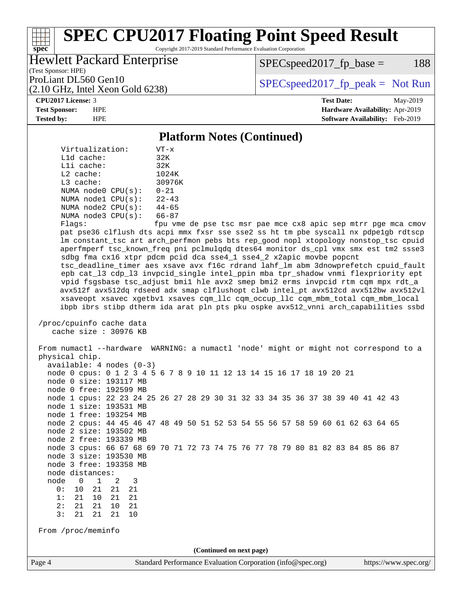Copyright 2017-2019 Standard Performance Evaluation Corporation

### Hewlett Packard Enterprise

(2.10 GHz, Intel Xeon Gold 6238)

 $SPEC speed2017_fp\_base = 188$ 

(Test Sponsor: HPE)

ProLiant DL560 Gen10  $SPEC speed2017$  [p\_peak = Not Run

#### **[CPU2017 License:](http://www.spec.org/auto/cpu2017/Docs/result-fields.html#CPU2017License)** 3 **[Test Date:](http://www.spec.org/auto/cpu2017/Docs/result-fields.html#TestDate)** May-2019

**[spec](http://www.spec.org/)**

**[Test Sponsor:](http://www.spec.org/auto/cpu2017/Docs/result-fields.html#TestSponsor)** HPE **[Hardware Availability:](http://www.spec.org/auto/cpu2017/Docs/result-fields.html#HardwareAvailability)** Apr-2019 **[Tested by:](http://www.spec.org/auto/cpu2017/Docs/result-fields.html#Testedby)** HPE **[Software Availability:](http://www.spec.org/auto/cpu2017/Docs/result-fields.html#SoftwareAvailability)** Feb-2019

#### **[Platform Notes \(Continued\)](http://www.spec.org/auto/cpu2017/Docs/result-fields.html#PlatformNotes)**

| Virtualization:          | $VT - x$        |
|--------------------------|-----------------|
| $L1d$ cache:             | 32K             |
| Lli cache:               | 32K             |
| $L2$ cache:              | 1024K           |
| $L3$ cache:              | 30976K          |
| NUMA node0 CPU(s):       | $0 - 21$        |
| NUMA nodel CPU(s):       | $22 - 43$       |
| NUMA node2 CPU(s):       | $44 - 65$       |
| NUMA $node3$ CPU $(s)$ : | $66 - 87$       |
| $F1 \sim 20$             | $f \sim \cdots$ |

Flags: fpu vme de pse tsc msr pae mce cx8 apic sep mtrr pge mca cmov pat pse36 clflush dts acpi mmx fxsr sse sse2 ss ht tm pbe syscall nx pdpe1gb rdtscp lm constant\_tsc art arch\_perfmon pebs bts rep\_good nopl xtopology nonstop\_tsc cpuid aperfmperf tsc\_known\_freq pni pclmulqdq dtes64 monitor ds\_cpl vmx smx est tm2 ssse3 sdbg fma cx16 xtpr pdcm pcid dca sse4\_1 sse4\_2 x2apic movbe popcnt tsc\_deadline\_timer aes xsave avx f16c rdrand lahf\_lm abm 3dnowprefetch cpuid\_fault epb cat\_l3 cdp\_l3 invpcid\_single intel\_ppin mba tpr\_shadow vnmi flexpriority ept vpid fsgsbase tsc\_adjust bmi1 hle avx2 smep bmi2 erms invpcid rtm cqm mpx rdt\_a avx512f avx512dq rdseed adx smap clflushopt clwb intel\_pt avx512cd avx512bw avx512vl xsaveopt xsavec xgetbv1 xsaves cqm\_llc cqm\_occup\_llc cqm\_mbm\_total cqm\_mbm\_local ibpb ibrs stibp dtherm ida arat pln pts pku ospke avx512\_vnni arch\_capabilities ssbd

 /proc/cpuinfo cache data cache size : 30976 KB

 From numactl --hardware WARNING: a numactl 'node' might or might not correspond to a physical chip. available: 4 nodes (0-3) node 0 cpus: 0 1 2 3 4 5 6 7 8 9 10 11 12 13 14 15 16 17 18 19 20 21 node 0 size: 193117 MB node 0 free: 192599 MB node 1 cpus: 22 23 24 25 26 27 28 29 30 31 32 33 34 35 36 37 38 39 40 41 42 43 node 1 size: 193531 MB node 1 free: 193254 MB node 2 cpus: 44 45 46 47 48 49 50 51 52 53 54 55 56 57 58 59 60 61 62 63 64 65 node 2 size: 193502 MB node 2 free: 193339 MB node 3 cpus: 66 67 68 69 70 71 72 73 74 75 76 77 78 79 80 81 82 83 84 85 86 87 node 3 size: 193530 MB node 3 free: 193358 MB node distances: node 0 1 2 3 0: 10 21 21 21 1: 21 10 21 21 2: 21 21 10 21 3: 21 21 21 From /proc/meminfo **(Continued on next page)**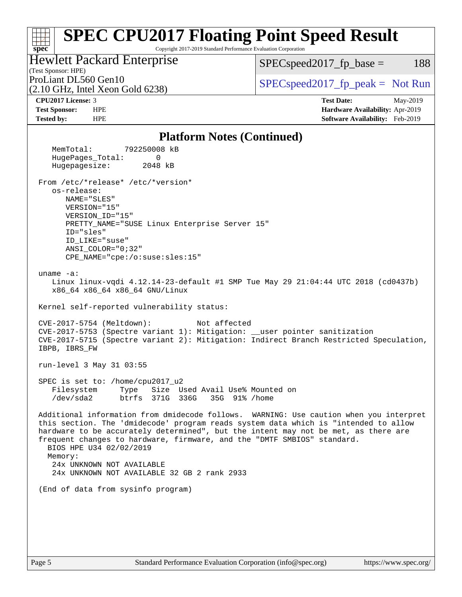Copyright 2017-2019 Standard Performance Evaluation Corporation

Hewlett Packard Enterprise

 $SPECspeed2017_fp\_base = 188$ 

# (Test Sponsor: HPE)

(2.10 GHz, Intel Xeon Gold 6238)

ProLiant DL560 Gen10<br>  $\begin{array}{r} \text{ProLiant DL560 Gen10} \\ \text{SPECspeed2017\_fp\_peak} = \text{Not Run} \end{array}$ 

**[CPU2017 License:](http://www.spec.org/auto/cpu2017/Docs/result-fields.html#CPU2017License)** 3 **[Test Date:](http://www.spec.org/auto/cpu2017/Docs/result-fields.html#TestDate)** May-2019 **[Test Sponsor:](http://www.spec.org/auto/cpu2017/Docs/result-fields.html#TestSponsor)** HPE **[Hardware Availability:](http://www.spec.org/auto/cpu2017/Docs/result-fields.html#HardwareAvailability)** Apr-2019 **[Tested by:](http://www.spec.org/auto/cpu2017/Docs/result-fields.html#Testedby)** HPE **[Software Availability:](http://www.spec.org/auto/cpu2017/Docs/result-fields.html#SoftwareAvailability)** Feb-2019

### **[Platform Notes \(Continued\)](http://www.spec.org/auto/cpu2017/Docs/result-fields.html#PlatformNotes)**

| I Iauol III Poles (Continueu)                                                                                                                                                                                                                                                                                                                                                                                                                                    |
|------------------------------------------------------------------------------------------------------------------------------------------------------------------------------------------------------------------------------------------------------------------------------------------------------------------------------------------------------------------------------------------------------------------------------------------------------------------|
| MemTotal:<br>792250008 kB<br>HugePages_Total:<br>0<br>Hugepagesize:<br>2048 kB                                                                                                                                                                                                                                                                                                                                                                                   |
| From /etc/*release* /etc/*version*<br>os-release:<br>NAME="SLES"<br>VERSION="15"<br>VERSION_ID="15"<br>PRETTY_NAME="SUSE Linux Enterprise Server 15"<br>ID="sles"<br>ID LIKE="suse"<br>$ANSI$ _COLOR=" $0:32$ "<br>CPE_NAME="cpe:/o:suse:sles:15"                                                                                                                                                                                                                |
| uname $-a$ :<br>Linux linux-vqdi 4.12.14-23-default #1 SMP Tue May 29 21:04:44 UTC 2018 (cd0437b)<br>x86_64 x86_64 x86_64 GNU/Linux                                                                                                                                                                                                                                                                                                                              |
| Kernel self-reported vulnerability status:                                                                                                                                                                                                                                                                                                                                                                                                                       |
| CVE-2017-5754 (Meltdown):<br>Not affected<br>CVE-2017-5753 (Spectre variant 1): Mitigation: __user pointer sanitization<br>CVE-2017-5715 (Spectre variant 2): Mitigation: Indirect Branch Restricted Speculation,<br>IBPB, IBRS_FW                                                                                                                                                                                                                               |
| run-level 3 May 31 03:55                                                                                                                                                                                                                                                                                                                                                                                                                                         |
| SPEC is set to: /home/cpu2017_u2<br>Filesystem<br>Type Size Used Avail Use% Mounted on<br>/dev/sda2 btrfs 371G 336G 35G 91% /home                                                                                                                                                                                                                                                                                                                                |
| Additional information from dmidecode follows. WARNING: Use caution when you interpret<br>this section. The 'dmidecode' program reads system data which is "intended to allow<br>hardware to be accurately determined", but the intent may not be met, as there are<br>frequent changes to hardware, firmware, and the "DMTF SMBIOS" standard.<br>BIOS HPE U34 02/02/2019<br>Memory:<br>24x UNKNOWN NOT AVAILABLE<br>24x UNKNOWN NOT AVAILABLE 32 GB 2 rank 2933 |
| (End of data from sysinfo program)                                                                                                                                                                                                                                                                                                                                                                                                                               |
|                                                                                                                                                                                                                                                                                                                                                                                                                                                                  |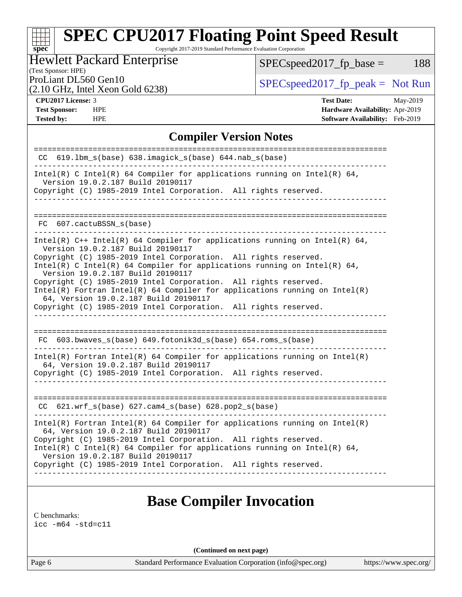Copyright 2017-2019 Standard Performance Evaluation Corporation

## Hewlett Packard Enterprise

 $SPEC speed2017_fp\_base = 188$ 

# (Test Sponsor: HPE)

(2.10 GHz, Intel Xeon Gold 6238)

ProLiant DL560 Gen10<br>  $\begin{array}{c|c}\n\text{SPEC speed2017\_fp\_peak} = \text{Not Run} \\
\hline\n\end{array}$ 

**[spec](http://www.spec.org/)**

**[Tested by:](http://www.spec.org/auto/cpu2017/Docs/result-fields.html#Testedby)** HPE **HPE [Software Availability:](http://www.spec.org/auto/cpu2017/Docs/result-fields.html#SoftwareAvailability)** Feb-2019

**[CPU2017 License:](http://www.spec.org/auto/cpu2017/Docs/result-fields.html#CPU2017License)** 3 **[Test Date:](http://www.spec.org/auto/cpu2017/Docs/result-fields.html#TestDate)** May-2019 **[Test Sponsor:](http://www.spec.org/auto/cpu2017/Docs/result-fields.html#TestSponsor)** HPE **[Hardware Availability:](http://www.spec.org/auto/cpu2017/Docs/result-fields.html#HardwareAvailability)** Apr-2019

### **[Compiler Version Notes](http://www.spec.org/auto/cpu2017/Docs/result-fields.html#CompilerVersionNotes)**

| $CC$ 619.1bm_s(base) 638.imagick_s(base) 644.nab_s(base)                                                                                    |
|---------------------------------------------------------------------------------------------------------------------------------------------|
| Intel(R) C Intel(R) 64 Compiler for applications running on Intel(R) 64,<br>Version 19.0.2.187 Build 20190117                               |
| Copyright (C) 1985-2019 Intel Corporation. All rights reserved.                                                                             |
|                                                                                                                                             |
|                                                                                                                                             |
| FC 607.cactuBSSN_s(base)<br>_______________________________                                                                                 |
| Intel(R) $C++$ Intel(R) 64 Compiler for applications running on Intel(R) 64,<br>Version 19.0.2.187 Build 20190117                           |
| Copyright (C) 1985-2019 Intel Corporation. All rights reserved.<br>Intel(R) C Intel(R) 64 Compiler for applications running on Intel(R) 64, |
| Version 19.0.2.187 Build 20190117                                                                                                           |
| Copyright (C) 1985-2019 Intel Corporation. All rights reserved.                                                                             |
| $Intel(R)$ Fortran Intel(R) 64 Compiler for applications running on Intel(R)<br>64, Version 19.0.2.187 Build 20190117                       |
| Copyright (C) 1985-2019 Intel Corporation. All rights reserved.                                                                             |
|                                                                                                                                             |
|                                                                                                                                             |
| $FC$ 603.bwaves_s(base) 649.fotonik3d_s(base) 654.roms_s(base)<br>_____________________________                                             |
| $Intel(R)$ Fortran Intel(R) 64 Compiler for applications running on Intel(R)<br>64, Version 19.0.2.187 Build 20190117                       |
| Copyright (C) 1985-2019 Intel Corporation. All rights reserved.                                                                             |
|                                                                                                                                             |
|                                                                                                                                             |
| $CC$ 621.wrf_s(base) 627.cam4_s(base) 628.pop2_s(base)                                                                                      |
| Intel(R) Fortran Intel(R) 64 Compiler for applications running on Intel(R)<br>64, Version 19.0.2.187 Build 20190117                         |
| Copyright (C) 1985-2019 Intel Corporation. All rights reserved.                                                                             |
| Intel(R) C Intel(R) 64 Compiler for applications running on Intel(R) 64,<br>Version 19.0.2.187 Build 20190117                               |
| Copyright (C) 1985-2019 Intel Corporation. All rights reserved.                                                                             |
|                                                                                                                                             |
|                                                                                                                                             |

## **[Base Compiler Invocation](http://www.spec.org/auto/cpu2017/Docs/result-fields.html#BaseCompilerInvocation)**

[C benchmarks](http://www.spec.org/auto/cpu2017/Docs/result-fields.html#Cbenchmarks):

[icc -m64 -std=c11](http://www.spec.org/cpu2017/results/res2019q3/cpu2017-20190625-15700.flags.html#user_CCbase_intel_icc_64bit_c11_33ee0cdaae7deeeab2a9725423ba97205ce30f63b9926c2519791662299b76a0318f32ddfffdc46587804de3178b4f9328c46fa7c2b0cd779d7a61945c91cd35)

**(Continued on next page)**

Page 6 Standard Performance Evaluation Corporation [\(info@spec.org\)](mailto:info@spec.org) <https://www.spec.org/>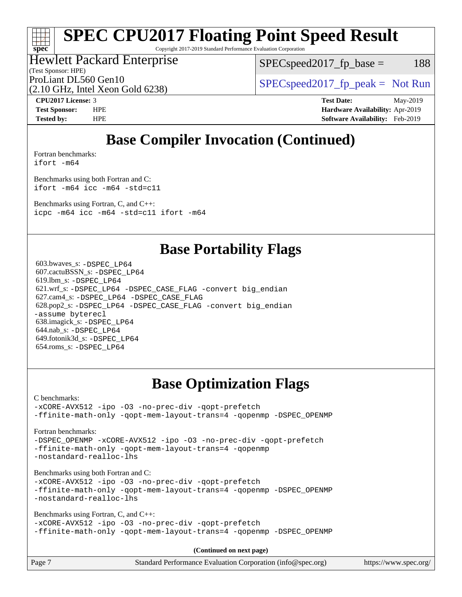Copyright 2017-2019 Standard Performance Evaluation Corporation

## Hewlett Packard Enterprise

 $SPEC speed2017_fp\_base = 188$ 

(Test Sponsor: HPE)

ProLiant DL560 Gen10  $SPEC speed2017$  [p\_peak = Not Run

(2.10 GHz, Intel Xeon Gold 6238)

**[CPU2017 License:](http://www.spec.org/auto/cpu2017/Docs/result-fields.html#CPU2017License)** 3 **[Test Date:](http://www.spec.org/auto/cpu2017/Docs/result-fields.html#TestDate)** May-2019 **[Test Sponsor:](http://www.spec.org/auto/cpu2017/Docs/result-fields.html#TestSponsor)** HPE **[Hardware Availability:](http://www.spec.org/auto/cpu2017/Docs/result-fields.html#HardwareAvailability)** Apr-2019 **[Tested by:](http://www.spec.org/auto/cpu2017/Docs/result-fields.html#Testedby)** HPE **[Software Availability:](http://www.spec.org/auto/cpu2017/Docs/result-fields.html#SoftwareAvailability)** Feb-2019

# **[Base Compiler Invocation \(Continued\)](http://www.spec.org/auto/cpu2017/Docs/result-fields.html#BaseCompilerInvocation)**

[Fortran benchmarks](http://www.spec.org/auto/cpu2017/Docs/result-fields.html#Fortranbenchmarks):

[ifort -m64](http://www.spec.org/cpu2017/results/res2019q3/cpu2017-20190625-15700.flags.html#user_FCbase_intel_ifort_64bit_24f2bb282fbaeffd6157abe4f878425411749daecae9a33200eee2bee2fe76f3b89351d69a8130dd5949958ce389cf37ff59a95e7a40d588e8d3a57e0c3fd751)

**[spec](http://www.spec.org/)**

[Benchmarks using both Fortran and C](http://www.spec.org/auto/cpu2017/Docs/result-fields.html#BenchmarksusingbothFortranandC): [ifort -m64](http://www.spec.org/cpu2017/results/res2019q3/cpu2017-20190625-15700.flags.html#user_CC_FCbase_intel_ifort_64bit_24f2bb282fbaeffd6157abe4f878425411749daecae9a33200eee2bee2fe76f3b89351d69a8130dd5949958ce389cf37ff59a95e7a40d588e8d3a57e0c3fd751) [icc -m64 -std=c11](http://www.spec.org/cpu2017/results/res2019q3/cpu2017-20190625-15700.flags.html#user_CC_FCbase_intel_icc_64bit_c11_33ee0cdaae7deeeab2a9725423ba97205ce30f63b9926c2519791662299b76a0318f32ddfffdc46587804de3178b4f9328c46fa7c2b0cd779d7a61945c91cd35)

[Benchmarks using Fortran, C, and C++:](http://www.spec.org/auto/cpu2017/Docs/result-fields.html#BenchmarksusingFortranCandCXX) [icpc -m64](http://www.spec.org/cpu2017/results/res2019q3/cpu2017-20190625-15700.flags.html#user_CC_CXX_FCbase_intel_icpc_64bit_4ecb2543ae3f1412ef961e0650ca070fec7b7afdcd6ed48761b84423119d1bf6bdf5cad15b44d48e7256388bc77273b966e5eb805aefd121eb22e9299b2ec9d9) [icc -m64 -std=c11](http://www.spec.org/cpu2017/results/res2019q3/cpu2017-20190625-15700.flags.html#user_CC_CXX_FCbase_intel_icc_64bit_c11_33ee0cdaae7deeeab2a9725423ba97205ce30f63b9926c2519791662299b76a0318f32ddfffdc46587804de3178b4f9328c46fa7c2b0cd779d7a61945c91cd35) [ifort -m64](http://www.spec.org/cpu2017/results/res2019q3/cpu2017-20190625-15700.flags.html#user_CC_CXX_FCbase_intel_ifort_64bit_24f2bb282fbaeffd6157abe4f878425411749daecae9a33200eee2bee2fe76f3b89351d69a8130dd5949958ce389cf37ff59a95e7a40d588e8d3a57e0c3fd751)

# **[Base Portability Flags](http://www.spec.org/auto/cpu2017/Docs/result-fields.html#BasePortabilityFlags)**

 603.bwaves\_s: [-DSPEC\\_LP64](http://www.spec.org/cpu2017/results/res2019q3/cpu2017-20190625-15700.flags.html#suite_basePORTABILITY603_bwaves_s_DSPEC_LP64) 607.cactuBSSN\_s: [-DSPEC\\_LP64](http://www.spec.org/cpu2017/results/res2019q3/cpu2017-20190625-15700.flags.html#suite_basePORTABILITY607_cactuBSSN_s_DSPEC_LP64) 619.lbm\_s: [-DSPEC\\_LP64](http://www.spec.org/cpu2017/results/res2019q3/cpu2017-20190625-15700.flags.html#suite_basePORTABILITY619_lbm_s_DSPEC_LP64) 621.wrf\_s: [-DSPEC\\_LP64](http://www.spec.org/cpu2017/results/res2019q3/cpu2017-20190625-15700.flags.html#suite_basePORTABILITY621_wrf_s_DSPEC_LP64) [-DSPEC\\_CASE\\_FLAG](http://www.spec.org/cpu2017/results/res2019q3/cpu2017-20190625-15700.flags.html#b621.wrf_s_baseCPORTABILITY_DSPEC_CASE_FLAG) [-convert big\\_endian](http://www.spec.org/cpu2017/results/res2019q3/cpu2017-20190625-15700.flags.html#user_baseFPORTABILITY621_wrf_s_convert_big_endian_c3194028bc08c63ac5d04de18c48ce6d347e4e562e8892b8bdbdc0214820426deb8554edfa529a3fb25a586e65a3d812c835984020483e7e73212c4d31a38223) 627.cam4\_s: [-DSPEC\\_LP64](http://www.spec.org/cpu2017/results/res2019q3/cpu2017-20190625-15700.flags.html#suite_basePORTABILITY627_cam4_s_DSPEC_LP64) [-DSPEC\\_CASE\\_FLAG](http://www.spec.org/cpu2017/results/res2019q3/cpu2017-20190625-15700.flags.html#b627.cam4_s_baseCPORTABILITY_DSPEC_CASE_FLAG) 628.pop2\_s: [-DSPEC\\_LP64](http://www.spec.org/cpu2017/results/res2019q3/cpu2017-20190625-15700.flags.html#suite_basePORTABILITY628_pop2_s_DSPEC_LP64) [-DSPEC\\_CASE\\_FLAG](http://www.spec.org/cpu2017/results/res2019q3/cpu2017-20190625-15700.flags.html#b628.pop2_s_baseCPORTABILITY_DSPEC_CASE_FLAG) [-convert big\\_endian](http://www.spec.org/cpu2017/results/res2019q3/cpu2017-20190625-15700.flags.html#user_baseFPORTABILITY628_pop2_s_convert_big_endian_c3194028bc08c63ac5d04de18c48ce6d347e4e562e8892b8bdbdc0214820426deb8554edfa529a3fb25a586e65a3d812c835984020483e7e73212c4d31a38223) [-assume byterecl](http://www.spec.org/cpu2017/results/res2019q3/cpu2017-20190625-15700.flags.html#user_baseFPORTABILITY628_pop2_s_assume_byterecl_7e47d18b9513cf18525430bbf0f2177aa9bf368bc7a059c09b2c06a34b53bd3447c950d3f8d6c70e3faf3a05c8557d66a5798b567902e8849adc142926523472) 638.imagick\_s: [-DSPEC\\_LP64](http://www.spec.org/cpu2017/results/res2019q3/cpu2017-20190625-15700.flags.html#suite_basePORTABILITY638_imagick_s_DSPEC_LP64) 644.nab\_s: [-DSPEC\\_LP64](http://www.spec.org/cpu2017/results/res2019q3/cpu2017-20190625-15700.flags.html#suite_basePORTABILITY644_nab_s_DSPEC_LP64) 649.fotonik3d\_s: [-DSPEC\\_LP64](http://www.spec.org/cpu2017/results/res2019q3/cpu2017-20190625-15700.flags.html#suite_basePORTABILITY649_fotonik3d_s_DSPEC_LP64) 654.roms\_s: [-DSPEC\\_LP64](http://www.spec.org/cpu2017/results/res2019q3/cpu2017-20190625-15700.flags.html#suite_basePORTABILITY654_roms_s_DSPEC_LP64)

# **[Base Optimization Flags](http://www.spec.org/auto/cpu2017/Docs/result-fields.html#BaseOptimizationFlags)**

[C benchmarks](http://www.spec.org/auto/cpu2017/Docs/result-fields.html#Cbenchmarks):

[-xCORE-AVX512](http://www.spec.org/cpu2017/results/res2019q3/cpu2017-20190625-15700.flags.html#user_CCbase_f-xCORE-AVX512) [-ipo](http://www.spec.org/cpu2017/results/res2019q3/cpu2017-20190625-15700.flags.html#user_CCbase_f-ipo) [-O3](http://www.spec.org/cpu2017/results/res2019q3/cpu2017-20190625-15700.flags.html#user_CCbase_f-O3) [-no-prec-div](http://www.spec.org/cpu2017/results/res2019q3/cpu2017-20190625-15700.flags.html#user_CCbase_f-no-prec-div) [-qopt-prefetch](http://www.spec.org/cpu2017/results/res2019q3/cpu2017-20190625-15700.flags.html#user_CCbase_f-qopt-prefetch) [-ffinite-math-only](http://www.spec.org/cpu2017/results/res2019q3/cpu2017-20190625-15700.flags.html#user_CCbase_f_finite_math_only_cb91587bd2077682c4b38af759c288ed7c732db004271a9512da14a4f8007909a5f1427ecbf1a0fb78ff2a814402c6114ac565ca162485bbcae155b5e4258871) [-qopt-mem-layout-trans=4](http://www.spec.org/cpu2017/results/res2019q3/cpu2017-20190625-15700.flags.html#user_CCbase_f-qopt-mem-layout-trans_fa39e755916c150a61361b7846f310bcdf6f04e385ef281cadf3647acec3f0ae266d1a1d22d972a7087a248fd4e6ca390a3634700869573d231a252c784941a8) [-qopenmp](http://www.spec.org/cpu2017/results/res2019q3/cpu2017-20190625-15700.flags.html#user_CCbase_qopenmp_16be0c44f24f464004c6784a7acb94aca937f053568ce72f94b139a11c7c168634a55f6653758ddd83bcf7b8463e8028bb0b48b77bcddc6b78d5d95bb1df2967) [-DSPEC\\_OPENMP](http://www.spec.org/cpu2017/results/res2019q3/cpu2017-20190625-15700.flags.html#suite_CCbase_DSPEC_OPENMP)

[Fortran benchmarks](http://www.spec.org/auto/cpu2017/Docs/result-fields.html#Fortranbenchmarks):

[-DSPEC\\_OPENMP](http://www.spec.org/cpu2017/results/res2019q3/cpu2017-20190625-15700.flags.html#suite_FCbase_DSPEC_OPENMP) [-xCORE-AVX512](http://www.spec.org/cpu2017/results/res2019q3/cpu2017-20190625-15700.flags.html#user_FCbase_f-xCORE-AVX512) [-ipo](http://www.spec.org/cpu2017/results/res2019q3/cpu2017-20190625-15700.flags.html#user_FCbase_f-ipo) [-O3](http://www.spec.org/cpu2017/results/res2019q3/cpu2017-20190625-15700.flags.html#user_FCbase_f-O3) [-no-prec-div](http://www.spec.org/cpu2017/results/res2019q3/cpu2017-20190625-15700.flags.html#user_FCbase_f-no-prec-div) [-qopt-prefetch](http://www.spec.org/cpu2017/results/res2019q3/cpu2017-20190625-15700.flags.html#user_FCbase_f-qopt-prefetch) [-ffinite-math-only](http://www.spec.org/cpu2017/results/res2019q3/cpu2017-20190625-15700.flags.html#user_FCbase_f_finite_math_only_cb91587bd2077682c4b38af759c288ed7c732db004271a9512da14a4f8007909a5f1427ecbf1a0fb78ff2a814402c6114ac565ca162485bbcae155b5e4258871) [-qopt-mem-layout-trans=4](http://www.spec.org/cpu2017/results/res2019q3/cpu2017-20190625-15700.flags.html#user_FCbase_f-qopt-mem-layout-trans_fa39e755916c150a61361b7846f310bcdf6f04e385ef281cadf3647acec3f0ae266d1a1d22d972a7087a248fd4e6ca390a3634700869573d231a252c784941a8) [-qopenmp](http://www.spec.org/cpu2017/results/res2019q3/cpu2017-20190625-15700.flags.html#user_FCbase_qopenmp_16be0c44f24f464004c6784a7acb94aca937f053568ce72f94b139a11c7c168634a55f6653758ddd83bcf7b8463e8028bb0b48b77bcddc6b78d5d95bb1df2967) [-nostandard-realloc-lhs](http://www.spec.org/cpu2017/results/res2019q3/cpu2017-20190625-15700.flags.html#user_FCbase_f_2003_std_realloc_82b4557e90729c0f113870c07e44d33d6f5a304b4f63d4c15d2d0f1fab99f5daaed73bdb9275d9ae411527f28b936061aa8b9c8f2d63842963b95c9dd6426b8a)

[Benchmarks using both Fortran and C](http://www.spec.org/auto/cpu2017/Docs/result-fields.html#BenchmarksusingbothFortranandC):

[-xCORE-AVX512](http://www.spec.org/cpu2017/results/res2019q3/cpu2017-20190625-15700.flags.html#user_CC_FCbase_f-xCORE-AVX512) [-ipo](http://www.spec.org/cpu2017/results/res2019q3/cpu2017-20190625-15700.flags.html#user_CC_FCbase_f-ipo) [-O3](http://www.spec.org/cpu2017/results/res2019q3/cpu2017-20190625-15700.flags.html#user_CC_FCbase_f-O3) [-no-prec-div](http://www.spec.org/cpu2017/results/res2019q3/cpu2017-20190625-15700.flags.html#user_CC_FCbase_f-no-prec-div) [-qopt-prefetch](http://www.spec.org/cpu2017/results/res2019q3/cpu2017-20190625-15700.flags.html#user_CC_FCbase_f-qopt-prefetch) [-ffinite-math-only](http://www.spec.org/cpu2017/results/res2019q3/cpu2017-20190625-15700.flags.html#user_CC_FCbase_f_finite_math_only_cb91587bd2077682c4b38af759c288ed7c732db004271a9512da14a4f8007909a5f1427ecbf1a0fb78ff2a814402c6114ac565ca162485bbcae155b5e4258871) [-qopt-mem-layout-trans=4](http://www.spec.org/cpu2017/results/res2019q3/cpu2017-20190625-15700.flags.html#user_CC_FCbase_f-qopt-mem-layout-trans_fa39e755916c150a61361b7846f310bcdf6f04e385ef281cadf3647acec3f0ae266d1a1d22d972a7087a248fd4e6ca390a3634700869573d231a252c784941a8) [-qopenmp](http://www.spec.org/cpu2017/results/res2019q3/cpu2017-20190625-15700.flags.html#user_CC_FCbase_qopenmp_16be0c44f24f464004c6784a7acb94aca937f053568ce72f94b139a11c7c168634a55f6653758ddd83bcf7b8463e8028bb0b48b77bcddc6b78d5d95bb1df2967) [-DSPEC\\_OPENMP](http://www.spec.org/cpu2017/results/res2019q3/cpu2017-20190625-15700.flags.html#suite_CC_FCbase_DSPEC_OPENMP) [-nostandard-realloc-lhs](http://www.spec.org/cpu2017/results/res2019q3/cpu2017-20190625-15700.flags.html#user_CC_FCbase_f_2003_std_realloc_82b4557e90729c0f113870c07e44d33d6f5a304b4f63d4c15d2d0f1fab99f5daaed73bdb9275d9ae411527f28b936061aa8b9c8f2d63842963b95c9dd6426b8a)

[Benchmarks using Fortran, C, and C++:](http://www.spec.org/auto/cpu2017/Docs/result-fields.html#BenchmarksusingFortranCandCXX)

[-xCORE-AVX512](http://www.spec.org/cpu2017/results/res2019q3/cpu2017-20190625-15700.flags.html#user_CC_CXX_FCbase_f-xCORE-AVX512) [-ipo](http://www.spec.org/cpu2017/results/res2019q3/cpu2017-20190625-15700.flags.html#user_CC_CXX_FCbase_f-ipo) [-O3](http://www.spec.org/cpu2017/results/res2019q3/cpu2017-20190625-15700.flags.html#user_CC_CXX_FCbase_f-O3) [-no-prec-div](http://www.spec.org/cpu2017/results/res2019q3/cpu2017-20190625-15700.flags.html#user_CC_CXX_FCbase_f-no-prec-div) [-qopt-prefetch](http://www.spec.org/cpu2017/results/res2019q3/cpu2017-20190625-15700.flags.html#user_CC_CXX_FCbase_f-qopt-prefetch) [-ffinite-math-only](http://www.spec.org/cpu2017/results/res2019q3/cpu2017-20190625-15700.flags.html#user_CC_CXX_FCbase_f_finite_math_only_cb91587bd2077682c4b38af759c288ed7c732db004271a9512da14a4f8007909a5f1427ecbf1a0fb78ff2a814402c6114ac565ca162485bbcae155b5e4258871) [-qopt-mem-layout-trans=4](http://www.spec.org/cpu2017/results/res2019q3/cpu2017-20190625-15700.flags.html#user_CC_CXX_FCbase_f-qopt-mem-layout-trans_fa39e755916c150a61361b7846f310bcdf6f04e385ef281cadf3647acec3f0ae266d1a1d22d972a7087a248fd4e6ca390a3634700869573d231a252c784941a8) [-qopenmp](http://www.spec.org/cpu2017/results/res2019q3/cpu2017-20190625-15700.flags.html#user_CC_CXX_FCbase_qopenmp_16be0c44f24f464004c6784a7acb94aca937f053568ce72f94b139a11c7c168634a55f6653758ddd83bcf7b8463e8028bb0b48b77bcddc6b78d5d95bb1df2967) [-DSPEC\\_OPENMP](http://www.spec.org/cpu2017/results/res2019q3/cpu2017-20190625-15700.flags.html#suite_CC_CXX_FCbase_DSPEC_OPENMP)

**(Continued on next page)**

| Page 7 | Standard Performance Evaluation Corporation (info@spec.org) | https://www.spec.org/ |
|--------|-------------------------------------------------------------|-----------------------|
|        |                                                             |                       |